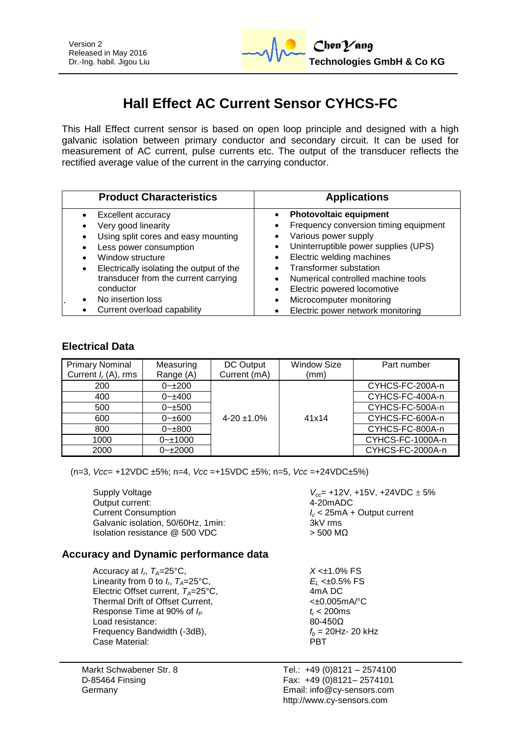

# **Hall Effect AC Current Sensor CYHCS-FC**

This Hall Effect current sensor is based on open loop principle and designed with a high galvanic isolation between primary conductor and secondary circuit. It can be used for measurement of AC current, pulse currents etc. The output of the transducer reflects the rectified average value of the current in the carrying conductor.

| <b>Product Characteristics</b>                                                                                                                                                                                                                       | <b>Applications</b>                                                                                                                                                                                                                                                                            |  |  |
|------------------------------------------------------------------------------------------------------------------------------------------------------------------------------------------------------------------------------------------------------|------------------------------------------------------------------------------------------------------------------------------------------------------------------------------------------------------------------------------------------------------------------------------------------------|--|--|
| Excellent accuracy<br>Very good linearity<br>Using split cores and easy mounting<br>Less power consumption<br>Window structure<br>Electrically isolating the output of the<br>transducer from the current carrying<br>conductor<br>No insertion loss | <b>Photovoltaic equipment</b><br>Frequency conversion timing equipment<br>Various power supply<br>Uninterruptible power supplies (UPS)<br>Electric welding machines<br>Transformer substation<br>Numerical controlled machine tools<br>Electric powered locomotive<br>Microcomputer monitoring |  |  |
| Current overload capability                                                                                                                                                                                                                          | Electric power network monitoring                                                                                                                                                                                                                                                              |  |  |

## **Electrical Data**

| <b>Primary Nominal</b><br>Current $I_r(A)$ , rms | Measuring<br>Range (A) | DC Output<br>Current (mA) | <b>Window Size</b><br>(mm) | Part number      |
|--------------------------------------------------|------------------------|---------------------------|----------------------------|------------------|
| 200                                              | $0 - 200$              |                           |                            | CYHCS-FC-200A-n  |
| 400                                              | $0 - \pm 400$          |                           |                            | CYHCS-FC-400A-n  |
| 500                                              | $0 - \pm 500$          |                           |                            | CYHCS-FC-500A-n  |
| 600                                              | $0 - \pm 600$          | $4 - 20 \pm 1.0\%$        | 41x14                      | CYHCS-FC-600A-n  |
| 800                                              | $0 - \pm 800$          |                           |                            | CYHCS-FC-800A-n  |
| 1000                                             | $0 - 1000$             |                           |                            | CYHCS-FC-1000A-n |
| 2000                                             | $0 - 2000$             |                           |                            | CYHCS-FC-2000A-n |

(n=3, *Vcc*= +12VDC ±5%; n=4, *Vcc* =+15VDC ±5%; n=5, *Vcc* =+24VDC±5%)

Output current: Current Consumption *I<sub>c</sub>* < 25mA + Output current Galvanic isolation. 50/60Hz. 1min: 3kV rms Galvanic isolation, 50/60Hz, 1min: Isolation resistance  $\textcircled{2}$  500 VDC  $>$  500 MΩ

Supply Voltage *Vcc*= +12V, +15V, +24VDC 5%

## **Accuracy and Dynamic performance data**

Accuracy at  $I_r$ ,  $T_A = 25^\circ \text{C}$ , Linearity from 0 to  $I_n$ ,  $T_A = 25^{\circ}$ C, Electric Offset current,  $T_A = 25^\circ \text{C}$ ,  $4 \text{ mA} \text{ DC}$ <br>Thermal Drift of Offset Current.  $\langle \pm 0.005 \text{ mA} \rangle^{\circ} \text{C}$ Thermal Drift of Offset Current, Response Time at 90% of  $I_P$  *t<sub>r</sub>* < 200ms Load resistance:  $80-450\Omega$ Frequency Bandwidth (-3dB),  $f_b = 20$ Hz- 20 kHz Case Material: Case Material:

Markt Schwabener Str. 8 D-85464 Finsing Germany

 $X < \pm 1.0\%$  FS  $E_L$  <±0.5% FS<br>4mA DC

Tel.: +49 (0)8121 – 2574100 Fax: +49 (0)8121– 2574101 Email: info@cy-sensors.com http://www.cy-sensors.com